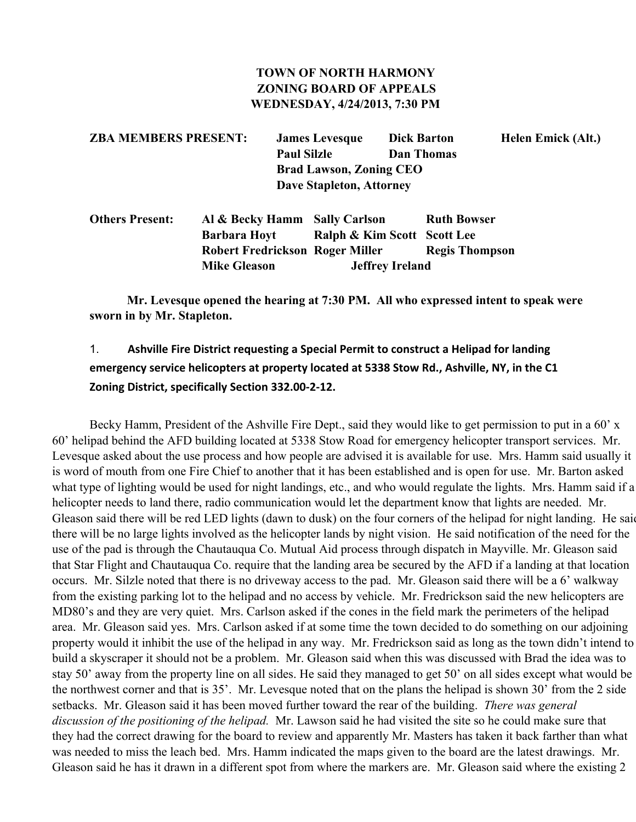#### **TOWN OF NORTH HARMONY ZONING BOARD OF APPEALS WEDNESDAY, 4/24/2013, 7:30 PM**

| <b>ZBA MEMBERS PRESENT:</b> | <b>James Levesque</b>          | <b>Dick Barton</b> | Helen Emick (Alt.) |
|-----------------------------|--------------------------------|--------------------|--------------------|
|                             | <b>Paul Silzle</b>             | Dan Thomas         |                    |
|                             | <b>Brad Lawson, Zoning CEO</b> |                    |                    |
|                             | Dave Stapleton, Attorney       |                    |                    |

| <b>Others Present:</b> | Al & Becky Hamm Sally Carlson          |                             | <b>Ruth Bowser</b>    |
|------------------------|----------------------------------------|-----------------------------|-----------------------|
|                        | <b>Barbara Hoyt</b>                    | Ralph & Kim Scott Scott Lee |                       |
|                        | <b>Robert Fredrickson Roger Miller</b> |                             | <b>Regis Thompson</b> |
|                        | <b>Mike Gleason</b>                    | <b>Jeffrey Ireland</b>      |                       |

**Mr. Levesque opened the hearing at 7:30 PM. All who expressed intent to speak were sworn in by Mr. Stapleton.**

# 1. **Ashville Fire District requesting a Special Permit to construct a Helipad for landing emergency service helicopters at property located at 5338 Stow Rd., Ashville, NY, in the C1 Zoning District, specifically Section 332.00-2-12.**

Becky Hamm, President of the Ashville Fire Dept., said they would like to get permission to put in a 60' x 60' helipad behind the AFD building located at 5338 Stow Road for emergency helicopter transport services. Mr. Levesque asked about the use process and how people are advised it is available for use. Mrs. Hamm said usually it is word of mouth from one Fire Chief to another that it has been established and is open for use. Mr. Barton asked what type of lighting would be used for night landings, etc., and who would regulate the lights. Mrs. Hamm said if a helicopter needs to land there, radio communication would let the department know that lights are needed. Mr. Gleason said there will be red LED lights (dawn to dusk) on the four corners of the helipad for night landing. He said there will be no large lights involved as the helicopter lands by night vision. He said notification of the need for the use of the pad is through the Chautauqua Co. Mutual Aid process through dispatch in Mayville. Mr. Gleason said that Star Flight and Chautauqua Co. require that the landing area be secured by the AFD if a landing at that location occurs. Mr. Silzle noted that there is no driveway access to the pad. Mr. Gleason said there will be a 6' walkway from the existing parking lot to the helipad and no access by vehicle. Mr. Fredrickson said the new helicopters are MD80's and they are very quiet. Mrs. Carlson asked if the cones in the field mark the perimeters of the helipad area. Mr. Gleason said yes. Mrs. Carlson asked if at some time the town decided to do something on our adjoining property would it inhibit the use of the helipad in any way. Mr. Fredrickson said as long as the town didn't intend to build a skyscraper it should not be a problem. Mr. Gleason said when this was discussed with Brad the idea was to stay 50' away from the property line on all sides. He said they managed to get 50' on all sides except what would be the northwest corner and that is 35'. Mr. Levesque noted that on the plans the helipad is shown 30' from the 2 side setbacks. Mr. Gleason said it has been moved further toward the rear of the building. *There was general discussion of the positioning of the helipad.* Mr. Lawson said he had visited the site so he could make sure that they had the correct drawing for the board to review and apparently Mr. Masters has taken it back farther than what was needed to miss the leach bed. Mrs. Hamm indicated the maps given to the board are the latest drawings. Mr. Gleason said he has it drawn in a different spot from where the markers are. Mr. Gleason said where the existing 2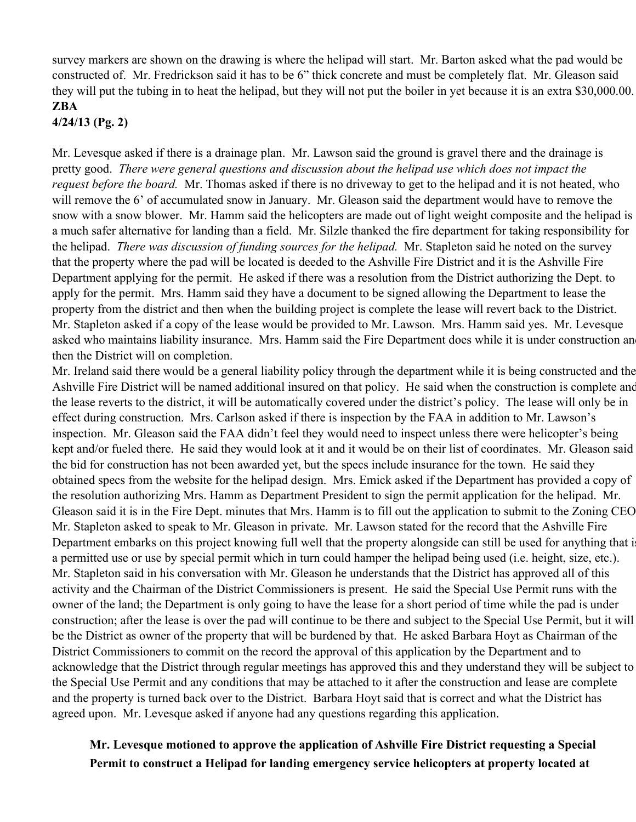survey markers are shown on the drawing is where the helipad will start. Mr. Barton asked what the pad would be constructed of. Mr. Fredrickson said it has to be 6" thick concrete and must be completely flat. Mr. Gleason said they will put the tubing in to heat the helipad, but they will not put the boiler in yet because it is an extra \$30,000.00. **ZBA**

**4/24/13 (Pg. 2)**

Mr. Levesque asked if there is a drainage plan. Mr. Lawson said the ground is gravel there and the drainage is pretty good. *There were general questions and discussion about the helipad use which does not impact the request before the board.* Mr. Thomas asked if there is no driveway to get to the helipad and it is not heated, who will remove the 6' of accumulated snow in January. Mr. Gleason said the department would have to remove the snow with a snow blower. Mr. Hamm said the helicopters are made out of light weight composite and the helipad is a much safer alternative for landing than a field. Mr. Silzle thanked the fire department for taking responsibility for the helipad. *There was discussion of funding sources for the helipad.* Mr. Stapleton said he noted on the survey that the property where the pad will be located is deeded to the Ashville Fire District and it is the Ashville Fire Department applying for the permit. He asked if there was a resolution from the District authorizing the Dept. to apply for the permit. Mrs. Hamm said they have a document to be signed allowing the Department to lease the property from the district and then when the building project is complete the lease will revert back to the District. Mr. Stapleton asked if a copy of the lease would be provided to Mr. Lawson. Mrs. Hamm said yes. Mr. Levesque asked who maintains liability insurance. Mrs. Hamm said the Fire Department does while it is under construction an then the District will on completion.

Mr. Ireland said there would be a general liability policy through the department while it is being constructed and the Ashville Fire District will be named additional insured on that policy. He said when the construction is complete and the lease reverts to the district, it will be automatically covered under the district's policy. The lease will only be in effect during construction. Mrs. Carlson asked if there is inspection by the FAA in addition to Mr. Lawson's inspection. Mr. Gleason said the FAA didn't feel they would need to inspect unless there were helicopter's being kept and/or fueled there. He said they would look at it and it would be on their list of coordinates. Mr. Gleason said the bid for construction has not been awarded yet, but the specs include insurance for the town. He said they obtained specs from the website for the helipad design. Mrs. Emick asked if the Department has provided a copy of the resolution authorizing Mrs. Hamm as Department President to sign the permit application for the helipad. Mr. Gleason said it is in the Fire Dept. minutes that Mrs. Hamm is to fill out the application to submit to the Zoning CEO. Mr. Stapleton asked to speak to Mr. Gleason in private. Mr. Lawson stated for the record that the Ashville Fire Department embarks on this project knowing full well that the property alongside can still be used for anything that i a permitted use or use by special permit which in turn could hamper the helipad being used (i.e. height, size, etc.). Mr. Stapleton said in his conversation with Mr. Gleason he understands that the District has approved all of this activity and the Chairman of the District Commissioners is present. He said the Special Use Permit runs with the owner of the land; the Department is only going to have the lease for a short period of time while the pad is under construction; after the lease is over the pad will continue to be there and subject to the Special Use Permit, but it will be the District as owner of the property that will be burdened by that. He asked Barbara Hoyt as Chairman of the District Commissioners to commit on the record the approval of this application by the Department and to acknowledge that the District through regular meetings has approved this and they understand they will be subject to the Special Use Permit and any conditions that may be attached to it after the construction and lease are complete and the property is turned back over to the District. Barbara Hoyt said that is correct and what the District has agreed upon. Mr. Levesque asked if anyone had any questions regarding this application.

### **Mr. Levesque motioned to approve the application of Ashville Fire District requesting a Special Permit to construct a Helipad for landing emergency service helicopters at property located at**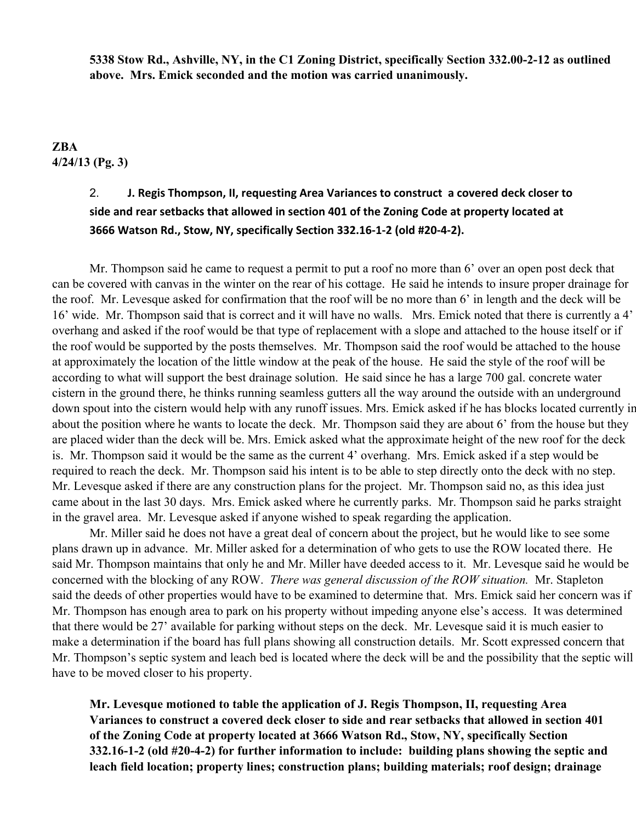**5338 Stow Rd., Ashville, NY, in the C1 Zoning District, specifically Section 332.00212 as outlined above. Mrs. Emick seconded and the motion was carried unanimously.**

### **ZBA 4/24/13 (Pg. 3)**

## 2. **J. Regis Thompson, II, requesting Area Variances to construct a covered deck closer to side and rear setbacks that allowed in section 401 of the Zoning Code at property located at 3666 Watson Rd., Stow, NY, specifically Section 332.16-1-2 (old #20-4-2).**

Mr. Thompson said he came to request a permit to put a roof no more than 6' over an open post deck that can be covered with canvas in the winter on the rear of his cottage. He said he intends to insure proper drainage for the roof. Mr. Levesque asked for confirmation that the roof will be no more than 6' in length and the deck will be 16' wide. Mr. Thompson said that is correct and it will have no walls. Mrs. Emick noted that there is currently a 4' overhang and asked if the roof would be that type of replacement with a slope and attached to the house itself or if the roof would be supported by the posts themselves. Mr. Thompson said the roof would be attached to the house at approximately the location of the little window at the peak of the house. He said the style of the roof will be according to what will support the best drainage solution. He said since he has a large 700 gal. concrete water cistern in the ground there, he thinks running seamless gutters all the way around the outside with an underground down spout into the cistern would help with any runoff issues. Mrs. Emick asked if he has blocks located currently in about the position where he wants to locate the deck. Mr. Thompson said they are about 6' from the house but they are placed wider than the deck will be. Mrs. Emick asked what the approximate height of the new roof for the deck is. Mr. Thompson said it would be the same as the current 4' overhang. Mrs. Emick asked if a step would be required to reach the deck. Mr. Thompson said his intent is to be able to step directly onto the deck with no step. Mr. Levesque asked if there are any construction plans for the project. Mr. Thompson said no, as this idea just came about in the last 30 days. Mrs. Emick asked where he currently parks. Mr. Thompson said he parks straight in the gravel area. Mr. Levesque asked if anyone wished to speak regarding the application.

Mr. Miller said he does not have a great deal of concern about the project, but he would like to see some plans drawn up in advance. Mr. Miller asked for a determination of who gets to use the ROW located there. He said Mr. Thompson maintains that only he and Mr. Miller have deeded access to it. Mr. Levesque said he would be concerned with the blocking of any ROW. *There was general discussion of the ROW situation.* Mr. Stapleton said the deeds of other properties would have to be examined to determine that. Mrs. Emick said her concern was if Mr. Thompson has enough area to park on his property without impeding anyone else's access. It was determined that there would be 27' available for parking without steps on the deck. Mr. Levesque said it is much easier to make a determination if the board has full plans showing all construction details. Mr. Scott expressed concern that Mr. Thompson's septic system and leach bed is located where the deck will be and the possibility that the septic will have to be moved closer to his property.

**Mr. Levesque motioned to table the application of J. Regis Thompson, II, requesting Area Variances to construct a covered deck closer to side and rear setbacks that allowed in section 401 of the Zoning Code at property located at 3666 Watson Rd., Stow, NY, specifically Section 332.1612 (old #2042) for further information to include: building plans showing the septic and leach field location; property lines; construction plans; building materials; roof design; drainage**